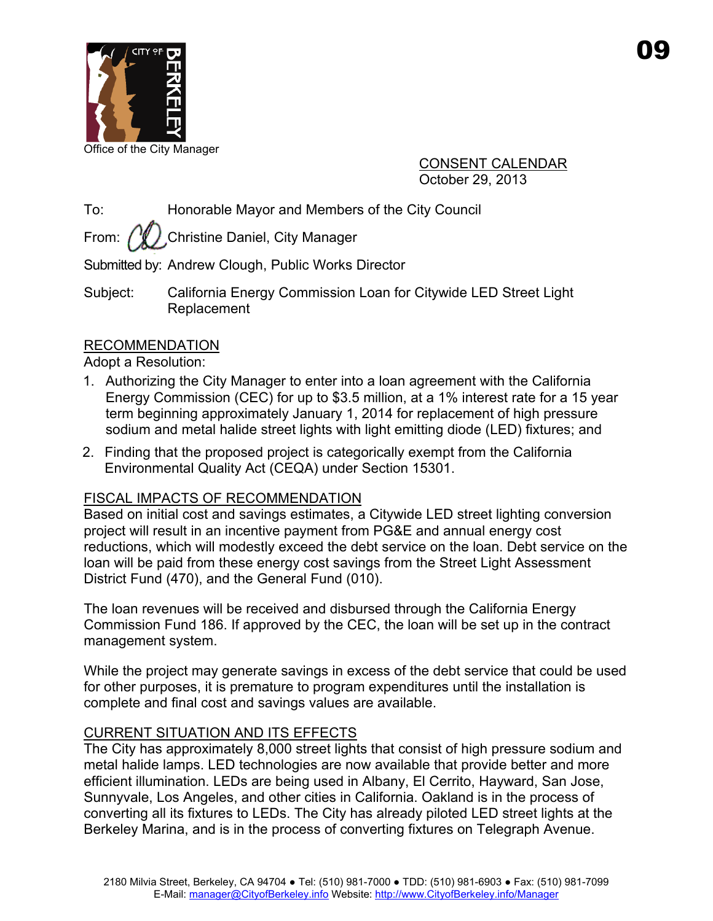

Office of the City Manager

CONSENT CALENDAR October 29, 2013

To: Honorable Mayor and Members of the City Council

From:  $\sqrt{W}$  Christine Daniel, City Manager

Submitted by: Andrew Clough, Public Works Director

Subject: California Energy Commission Loan for Citywide LED Street Light Replacement

## RECOMMENDATION

Adopt a Resolution:

- 1. Authorizing the City Manager to enter into a loan agreement with the California Energy Commission (CEC) for up to \$3.5 million, at a 1% interest rate for a 15 year term beginning approximately January 1, 2014 for replacement of high pressure sodium and metal halide street lights with light emitting diode (LED) fixtures; and
- 2. Finding that the proposed project is categorically exempt from the California Environmental Quality Act (CEQA) under Section 15301.

# FISCAL IMPACTS OF RECOMMENDATION

Based on initial cost and savings estimates, a Citywide LED street lighting conversion project will result in an incentive payment from PG&E and annual energy cost reductions, which will modestly exceed the debt service on the loan. Debt service on the loan will be paid from these energy cost savings from the Street Light Assessment District Fund (470), and the General Fund (010).

The loan revenues will be received and disbursed through the California Energy Commission Fund 186. If approved by the CEC, the loan will be set up in the contract management system.

While the project may generate savings in excess of the debt service that could be used for other purposes, it is premature to program expenditures until the installation is complete and final cost and savings values are available.

# CURRENT SITUATION AND ITS EFFECTS

The City has approximately 8,000 street lights that consist of high pressure sodium and metal halide lamps. LED technologies are now available that provide better and more efficient illumination. LEDs are being used in Albany, El Cerrito, Hayward, San Jose, Sunnyvale, Los Angeles, and other cities in California. Oakland is in the process of converting all its fixtures to LEDs. The City has already piloted LED street lights at the Berkeley Marina, and is in the process of converting fixtures on Telegraph Avenue.

09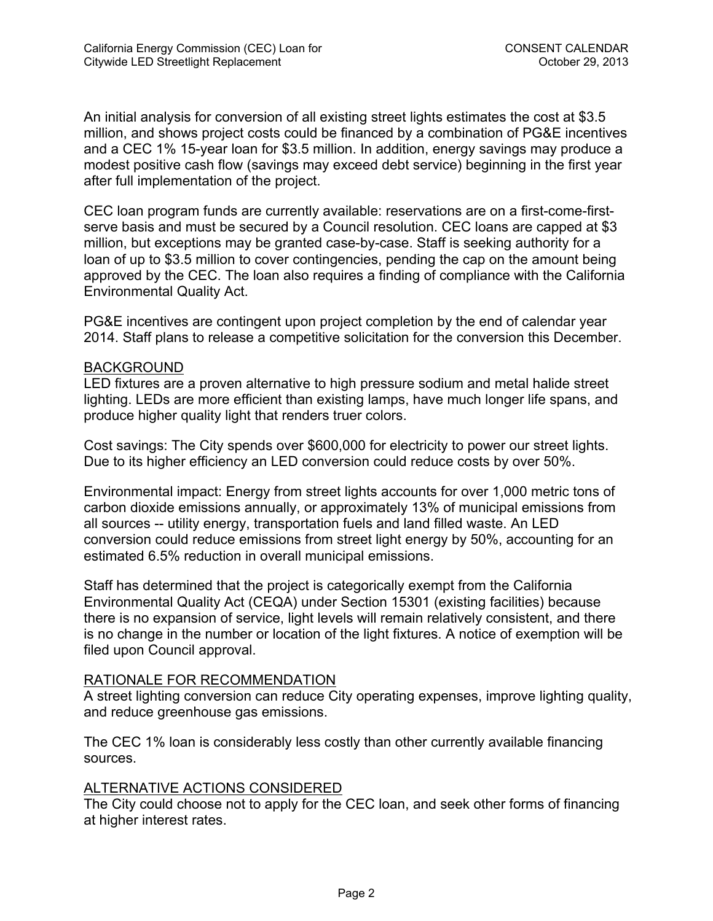An initial analysis for conversion of all existing street lights estimates the cost at \$3.5 million, and shows project costs could be financed by a combination of PG&E incentives and a CEC 1% 15-year loan for \$3.5 million. In addition, energy savings may produce a modest positive cash flow (savings may exceed debt service) beginning in the first year after full implementation of the project.

CEC loan program funds are currently available: reservations are on a first-come-firstserve basis and must be secured by a Council resolution. CEC loans are capped at \$3 million, but exceptions may be granted case-by-case. Staff is seeking authority for a loan of up to \$3.5 million to cover contingencies, pending the cap on the amount being approved by the CEC. The loan also requires a finding of compliance with the California Environmental Quality Act.

PG&E incentives are contingent upon project completion by the end of calendar year 2014. Staff plans to release a competitive solicitation for the conversion this December.

#### BACKGROUND

LED fixtures are a proven alternative to high pressure sodium and metal halide street lighting. LEDs are more efficient than existing lamps, have much longer life spans, and produce higher quality light that renders truer colors.

Cost savings: The City spends over \$600,000 for electricity to power our street lights. Due to its higher efficiency an LED conversion could reduce costs by over 50%.

Environmental impact: Energy from street lights accounts for over 1,000 metric tons of carbon dioxide emissions annually, or approximately 13% of municipal emissions from all sources -- utility energy, transportation fuels and land filled waste. An LED conversion could reduce emissions from street light energy by 50%, accounting for an estimated 6.5% reduction in overall municipal emissions.

Staff has determined that the project is categorically exempt from the California Environmental Quality Act (CEQA) under Section 15301 (existing facilities) because there is no expansion of service, light levels will remain relatively consistent, and there is no change in the number or location of the light fixtures. A notice of exemption will be filed upon Council approval.

## RATIONALE FOR RECOMMENDATION

A street lighting conversion can reduce City operating expenses, improve lighting quality, and reduce greenhouse gas emissions.

The CEC 1% loan is considerably less costly than other currently available financing sources.

## ALTERNATIVE ACTIONS CONSIDERED

The City could choose not to apply for the CEC loan, and seek other forms of financing at higher interest rates.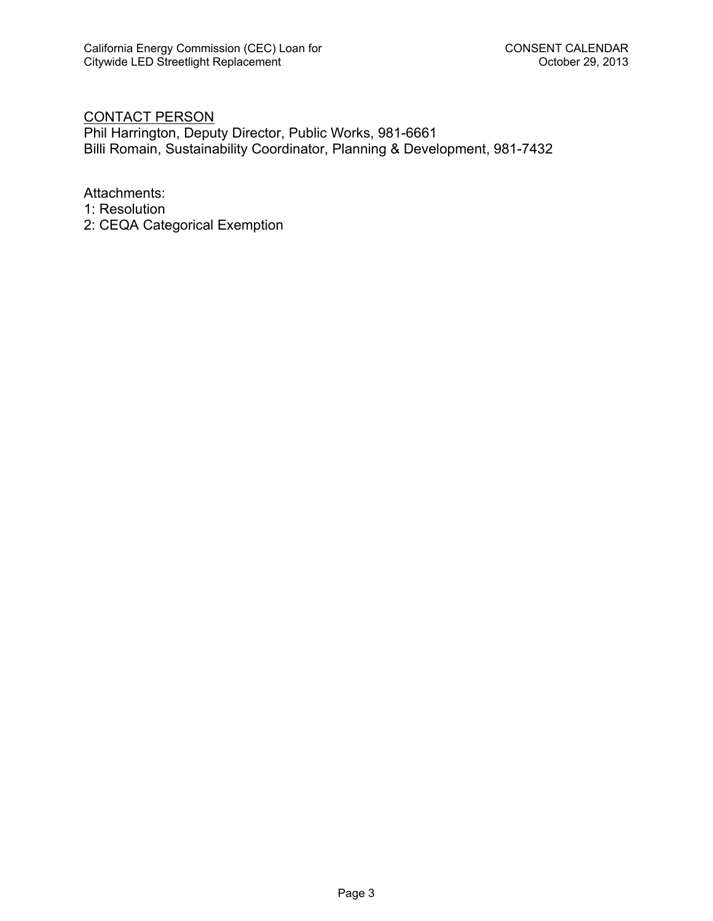## <u>CONTACT PERSON</u>

Phil Harrington, Deputy Director, Public Works, 981-6661 Billi Romain, Sustainability Coordinator, Planning & Development, 981-7432

Attachments:

- 1: Resolution
- 2: CEQA Categorical Exemption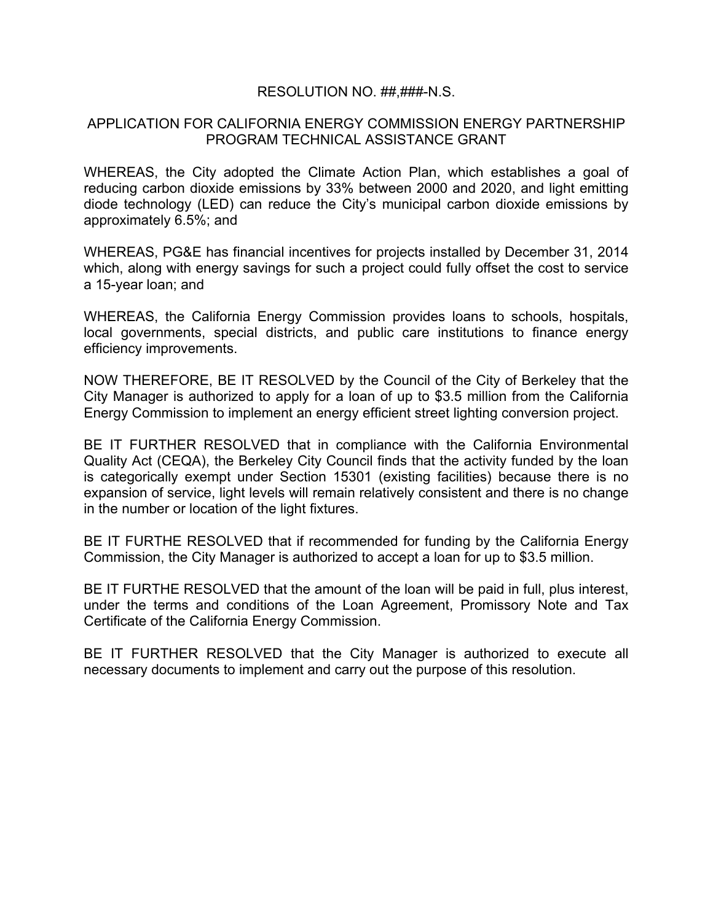#### RESOLUTION NO. ##,###-N.S.

#### APPLICATION FOR CALIFORNIA ENERGY COMMISSION ENERGY PARTNERSHIP PROGRAM TECHNICAL ASSISTANCE GRANT

WHEREAS, the City adopted the Climate Action Plan, which establishes a goal of reducing carbon dioxide emissions by 33% between 2000 and 2020, and light emitting diode technology (LED) can reduce the City's municipal carbon dioxide emissions by approximately 6.5%; and

WHEREAS, PG&E has financial incentives for projects installed by December 31, 2014 which, along with energy savings for such a project could fully offset the cost to service a 15-year loan; and

WHEREAS, the California Energy Commission provides loans to schools, hospitals, local governments, special districts, and public care institutions to finance energy efficiency improvements.

NOW THEREFORE, BE IT RESOLVED by the Council of the City of Berkeley that the City Manager is authorized to apply for a loan of up to \$3.5 million from the California Energy Commission to implement an energy efficient street lighting conversion project.

BE IT FURTHER RESOLVED that in compliance with the California Environmental Quality Act (CEQA), the Berkeley City Council finds that the activity funded by the loan is categorically exempt under Section 15301 (existing facilities) because there is no expansion of service, light levels will remain relatively consistent and there is no change in the number or location of the light fixtures.

BE IT FURTHE RESOLVED that if recommended for funding by the California Energy Commission, the City Manager is authorized to accept a loan for up to \$3.5 million.

BE IT FURTHE RESOLVED that the amount of the loan will be paid in full, plus interest, under the terms and conditions of the Loan Agreement, Promissory Note and Tax Certificate of the California Energy Commission.

BE IT FURTHER RESOLVED that the City Manager is authorized to execute all necessary documents to implement and carry out the purpose of this resolution.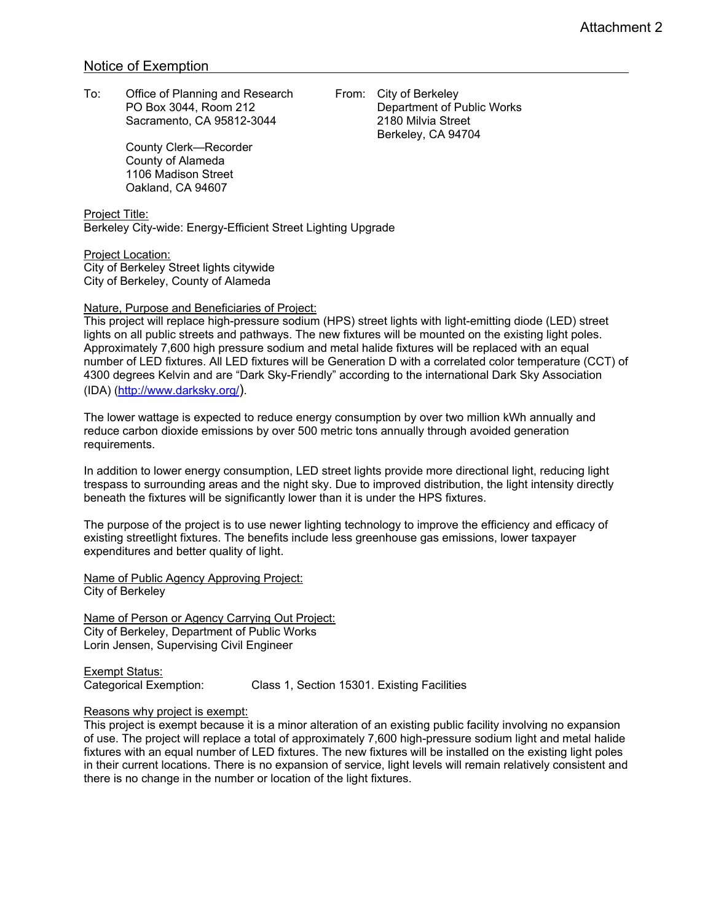#### Notice of Exemption

To: Office of Planning and Research From: City of Berkeley Sacramento, CA 95812-3044 2180 Milvia Street

> County Clerk—Recorder County of Alameda 1106 Madison Street Oakland, CA 94607

Project Title:

Berkeley City-wide: Energy-Efficient Street Lighting Upgrade

Project Location: City of Berkeley Street lights citywide City of Berkeley, County of Alameda

#### Nature, Purpose and Beneficiaries of Project:

This project will replace high-pressure sodium (HPS) street lights with light-emitting diode (LED) street lights on all public streets and pathways. The new fixtures will be mounted on the existing light poles. Approximately 7,600 high pressure sodium and metal halide fixtures will be replaced with an equal number of LED fixtures. All LED fixtures will be Generation D with a correlated color temperature (CCT) of 4300 degrees Kelvin and are "Dark Sky-Friendly" according to the international Dark Sky Association (IDA) (http://www.darksky.org/).

The lower wattage is expected to reduce energy consumption by over two million kWh annually and reduce carbon dioxide emissions by over 500 metric tons annually through avoided generation requirements.

In addition to lower energy consumption, LED street lights provide more directional light, reducing light trespass to surrounding areas and the night sky. Due to improved distribution, the light intensity directly beneath the fixtures will be significantly lower than it is under the HPS fixtures.

The purpose of the project is to use newer lighting technology to improve the efficiency and efficacy of existing streetlight fixtures. The benefits include less greenhouse gas emissions, lower taxpayer expenditures and better quality of light.

Name of Public Agency Approving Project: City of Berkeley

Name of Person or Agency Carrying Out Project: City of Berkeley, Department of Public Works Lorin Jensen, Supervising Civil Engineer

Exempt Status: Categorical Exemption: Class 1, Section 15301. Existing Facilities

#### Reasons why project is exempt:

This project is exempt because it is a minor alteration of an existing public facility involving no expansion of use. The project will replace a total of approximately 7,600 high-pressure sodium light and metal halide fixtures with an equal number of LED fixtures. The new fixtures will be installed on the existing light poles in their current locations. There is no expansion of service, light levels will remain relatively consistent and there is no change in the number or location of the light fixtures.

PO Box 3044, Room 212 Department of Public Works Berkeley, CA 94704